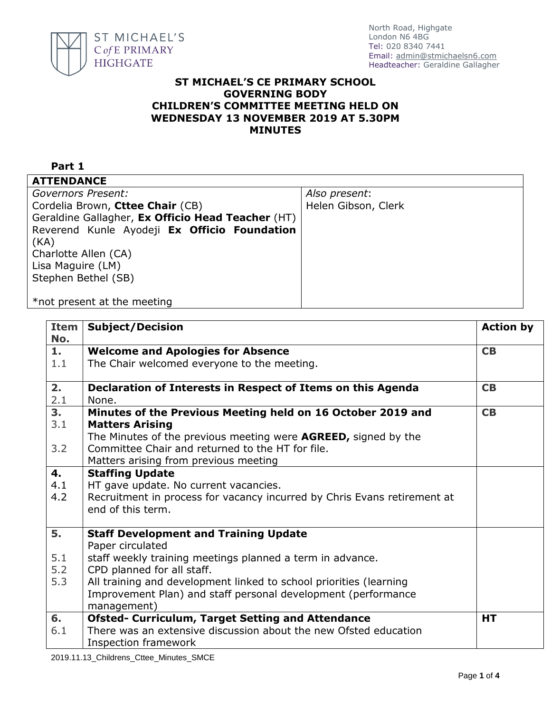

## **ST MICHAEL'S CE PRIMARY SCHOOL GOVERNING BODY CHILDREN'S COMMITTEE MEETING HELD ON WEDNESDAY 13 NOVEMBER 2019 AT 5.30PM MINUTES**

## **Part 1 ATTENDANCE** *Governors Present:* Cordelia Brown, **Cttee Chair** (CB) Geraldine Gallagher, **Ex Officio Head Teacher** (HT) Reverend Kunle Ayodeji **Ex Officio Foundation**  (KA) Charlotte Allen (CA) Lisa Maguire (LM) Stephen Bethel (SB) \*not present at the meeting *Also present*: Helen Gibson, Clerk

| <b>Item</b><br>No. | <b>Subject/Decision</b>                                                  | <b>Action by</b> |
|--------------------|--------------------------------------------------------------------------|------------------|
| 1.                 | <b>Welcome and Apologies for Absence</b>                                 | CB               |
| 1.1                | The Chair welcomed everyone to the meeting.                              |                  |
| 2.                 | Declaration of Interests in Respect of Items on this Agenda              | CB               |
| 2.1                | None.                                                                    |                  |
| 3 <sub>1</sub>     | Minutes of the Previous Meeting held on 16 October 2019 and              | CB               |
| 3.1                | <b>Matters Arising</b>                                                   |                  |
|                    | The Minutes of the previous meeting were <b>AGREED</b> , signed by the   |                  |
| 3.2                | Committee Chair and returned to the HT for file.                         |                  |
|                    | Matters arising from previous meeting                                    |                  |
| 4.                 | <b>Staffing Update</b>                                                   |                  |
| 4.1                | HT gave update. No current vacancies.                                    |                  |
| 4.2                | Recruitment in process for vacancy incurred by Chris Evans retirement at |                  |
|                    | end of this term.                                                        |                  |
| 5.                 | <b>Staff Development and Training Update</b>                             |                  |
|                    | Paper circulated                                                         |                  |
| 5.1                | staff weekly training meetings planned a term in advance.                |                  |
| 5.2                | CPD planned for all staff.                                               |                  |
| 5.3                | All training and development linked to school priorities (learning       |                  |
|                    | Improvement Plan) and staff personal development (performance            |                  |
|                    | management)                                                              |                  |
| 6.                 | <b>Ofsted- Curriculum, Target Setting and Attendance</b>                 | <b>HT</b>        |
| 6.1                | There was an extensive discussion about the new Ofsted education         |                  |
|                    | <b>Inspection framework</b>                                              |                  |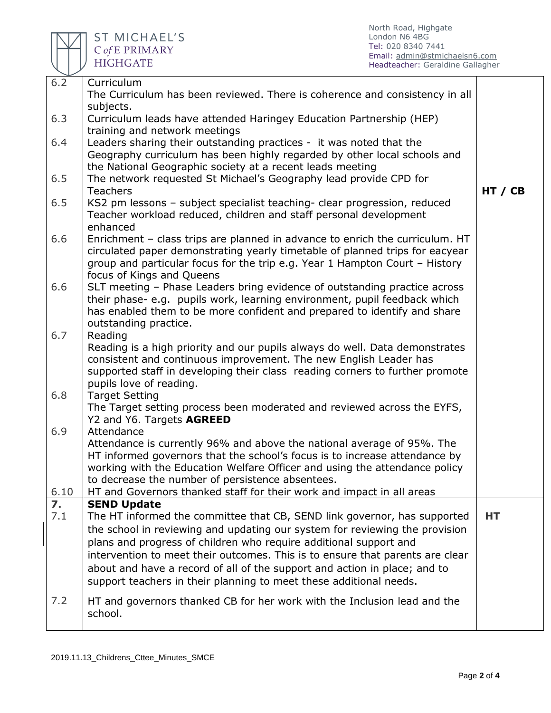

| 6.2              | Curriculum                                                                    |         |
|------------------|-------------------------------------------------------------------------------|---------|
|                  | The Curriculum has been reviewed. There is coherence and consistency in all   |         |
|                  | subjects.                                                                     |         |
| 6.3              | Curriculum leads have attended Haringey Education Partnership (HEP)           |         |
|                  | training and network meetings                                                 |         |
| 6.4              | Leaders sharing their outstanding practices - it was noted that the           |         |
|                  | Geography curriculum has been highly regarded by other local schools and      |         |
|                  | the National Geographic society at a recent leads meeting                     |         |
| 6.5              | The network requested St Michael's Geography lead provide CPD for             |         |
|                  | <b>Teachers</b>                                                               | HT / CB |
| 6.5              | KS2 pm lessons - subject specialist teaching- clear progression, reduced      |         |
|                  | Teacher workload reduced, children and staff personal development             |         |
|                  | enhanced                                                                      |         |
| 6.6              | Enrichment - class trips are planned in advance to enrich the curriculum. HT  |         |
|                  | circulated paper demonstrating yearly timetable of planned trips for eacyear  |         |
|                  | group and particular focus for the trip e.g. Year 1 Hampton Court - History   |         |
|                  | focus of Kings and Queens                                                     |         |
| 6.6              | SLT meeting - Phase Leaders bring evidence of outstanding practice across     |         |
|                  | their phase-e.g. pupils work, learning environment, pupil feedback which      |         |
|                  | has enabled them to be more confident and prepared to identify and share      |         |
|                  | outstanding practice.                                                         |         |
| 6.7              | Reading                                                                       |         |
|                  | Reading is a high priority and our pupils always do well. Data demonstrates   |         |
|                  | consistent and continuous improvement. The new English Leader has             |         |
|                  | supported staff in developing their class reading corners to further promote  |         |
|                  | pupils love of reading.                                                       |         |
| 6.8              | <b>Target Setting</b>                                                         |         |
|                  | The Target setting process been moderated and reviewed across the EYFS,       |         |
|                  | Y2 and Y6. Targets AGREED                                                     |         |
| 6.9              | Attendance                                                                    |         |
|                  | Attendance is currently 96% and above the national average of 95%. The        |         |
|                  | HT informed governors that the school's focus is to increase attendance by    |         |
|                  | working with the Education Welfare Officer and using the attendance policy    |         |
|                  | to decrease the number of persistence absentees.                              |         |
| 6.10             | HT and Governors thanked staff for their work and impact in all areas         |         |
| $\overline{7}$ . | <b>SEND Update</b>                                                            |         |
| 7.1              | The HT informed the committee that CB, SEND link governor, has supported      | HТ      |
|                  | the school in reviewing and updating our system for reviewing the provision   |         |
|                  | plans and progress of children who require additional support and             |         |
|                  | intervention to meet their outcomes. This is to ensure that parents are clear |         |
|                  | about and have a record of all of the support and action in place; and to     |         |
|                  | support teachers in their planning to meet these additional needs.            |         |
| 7.2              | HT and governors thanked CB for her work with the Inclusion lead and the      |         |
|                  | school.                                                                       |         |
|                  |                                                                               |         |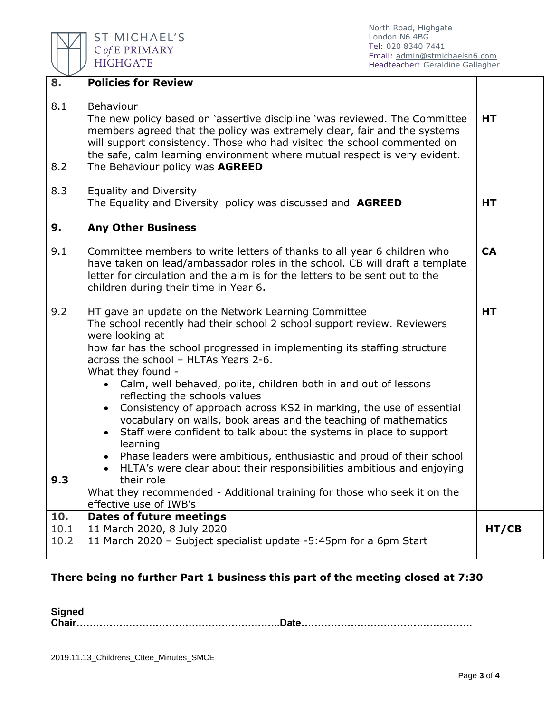

North Road, Highgate London N6 4BG Tel: 020 8340 7441 Email: [admin@stmichaelsn6.com](mailto:admin@stmichaelsn6.com) Headteacher: Geraldine Gallagher

| 8.           | <b>Policies for Review</b>                                                                                                                                                                                                                                                                                                                                                                                                                                                                                                                                                                                                                                                                                                                                                                                                                                                                                                |           |  |
|--------------|---------------------------------------------------------------------------------------------------------------------------------------------------------------------------------------------------------------------------------------------------------------------------------------------------------------------------------------------------------------------------------------------------------------------------------------------------------------------------------------------------------------------------------------------------------------------------------------------------------------------------------------------------------------------------------------------------------------------------------------------------------------------------------------------------------------------------------------------------------------------------------------------------------------------------|-----------|--|
| 8.1<br>8.2   | Behaviour<br>The new policy based on 'assertive discipline 'was reviewed. The Committee<br>members agreed that the policy was extremely clear, fair and the systems<br>will support consistency. Those who had visited the school commented on<br>the safe, calm learning environment where mutual respect is very evident.<br>The Behaviour policy was AGREED                                                                                                                                                                                                                                                                                                                                                                                                                                                                                                                                                            | HT        |  |
| 8.3          | <b>Equality and Diversity</b><br>The Equality and Diversity policy was discussed and AGREED                                                                                                                                                                                                                                                                                                                                                                                                                                                                                                                                                                                                                                                                                                                                                                                                                               | HT        |  |
| 9.           | <b>Any Other Business</b>                                                                                                                                                                                                                                                                                                                                                                                                                                                                                                                                                                                                                                                                                                                                                                                                                                                                                                 |           |  |
| 9.1          | Committee members to write letters of thanks to all year 6 children who<br>have taken on lead/ambassador roles in the school. CB will draft a template<br>letter for circulation and the aim is for the letters to be sent out to the<br>children during their time in Year 6.                                                                                                                                                                                                                                                                                                                                                                                                                                                                                                                                                                                                                                            | <b>CA</b> |  |
| 9.2<br>9.3   | HT gave an update on the Network Learning Committee<br>The school recently had their school 2 school support review. Reviewers<br>were looking at<br>how far has the school progressed in implementing its staffing structure<br>across the school - HLTAs Years 2-6.<br>What they found -<br>Calm, well behaved, polite, children both in and out of lessons<br>reflecting the schools values<br>Consistency of approach across KS2 in marking, the use of essential<br>$\bullet$<br>vocabulary on walls, book areas and the teaching of mathematics<br>Staff were confident to talk about the systems in place to support<br>learning<br>Phase leaders were ambitious, enthusiastic and proud of their school<br>HLTA's were clear about their responsibilities ambitious and enjoying<br>$\bullet$<br>their role<br>What they recommended - Additional training for those who seek it on the<br>effective use of IWB's | <b>HT</b> |  |
| 10.          | <b>Dates of future meetings</b>                                                                                                                                                                                                                                                                                                                                                                                                                                                                                                                                                                                                                                                                                                                                                                                                                                                                                           |           |  |
| 10.1<br>10.2 | 11 March 2020, 8 July 2020<br>11 March 2020 - Subject specialist update -5:45pm for a 6pm Start                                                                                                                                                                                                                                                                                                                                                                                                                                                                                                                                                                                                                                                                                                                                                                                                                           | HT/CB     |  |

## **There being no further Part 1 business this part of the meeting closed at 7:30**

**Signed** 

**Chair……………………………………………………..Date…………………………………………….**